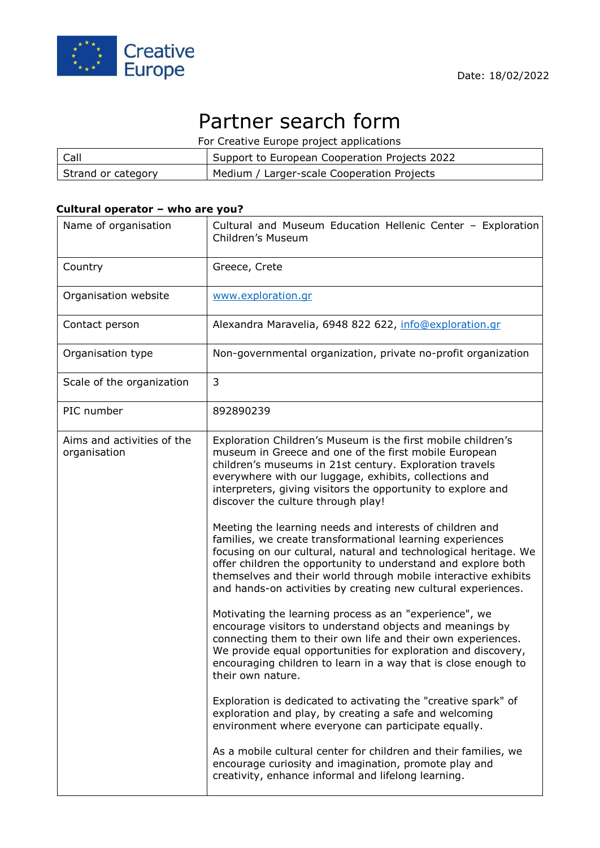

# Partner search form

For Creative Europe project applications

| Call               | Support to European Cooperation Projects 2022 |
|--------------------|-----------------------------------------------|
| Strand or category | Medium / Larger-scale Cooperation Projects    |

# **Cultural operator – who are you?**

| Name of organisation                       | Cultural and Museum Education Hellenic Center - Exploration<br>Children's Museum                                                                                                                                                                                                                                                                                                                                                                                          |
|--------------------------------------------|---------------------------------------------------------------------------------------------------------------------------------------------------------------------------------------------------------------------------------------------------------------------------------------------------------------------------------------------------------------------------------------------------------------------------------------------------------------------------|
| Country                                    | Greece, Crete                                                                                                                                                                                                                                                                                                                                                                                                                                                             |
| Organisation website                       | www.exploration.gr                                                                                                                                                                                                                                                                                                                                                                                                                                                        |
| Contact person                             | Alexandra Maravelia, 6948 822 622, info@exploration.gr                                                                                                                                                                                                                                                                                                                                                                                                                    |
| Organisation type                          | Non-governmental organization, private no-profit organization                                                                                                                                                                                                                                                                                                                                                                                                             |
| Scale of the organization                  | 3                                                                                                                                                                                                                                                                                                                                                                                                                                                                         |
| PIC number                                 | 892890239                                                                                                                                                                                                                                                                                                                                                                                                                                                                 |
| Aims and activities of the<br>organisation | Exploration Children's Museum is the first mobile children's<br>museum in Greece and one of the first mobile European<br>children's museums in 21st century. Exploration travels<br>everywhere with our luggage, exhibits, collections and<br>interpreters, giving visitors the opportunity to explore and<br>discover the culture through play!<br>Meeting the learning needs and interests of children and<br>families, we create transformational learning experiences |
|                                            | focusing on our cultural, natural and technological heritage. We<br>offer children the opportunity to understand and explore both<br>themselves and their world through mobile interactive exhibits<br>and hands-on activities by creating new cultural experiences.                                                                                                                                                                                                      |
|                                            | Motivating the learning process as an "experience", we<br>encourage visitors to understand objects and meanings by<br>connecting them to their own life and their own experiences.<br>We provide equal opportunities for exploration and discovery,<br>encouraging children to learn in a way that is close enough to<br>their own nature.                                                                                                                                |
|                                            | Exploration is dedicated to activating the "creative spark" of<br>exploration and play, by creating a safe and welcoming<br>environment where everyone can participate equally.                                                                                                                                                                                                                                                                                           |
|                                            | As a mobile cultural center for children and their families, we<br>encourage curiosity and imagination, promote play and<br>creativity, enhance informal and lifelong learning.                                                                                                                                                                                                                                                                                           |